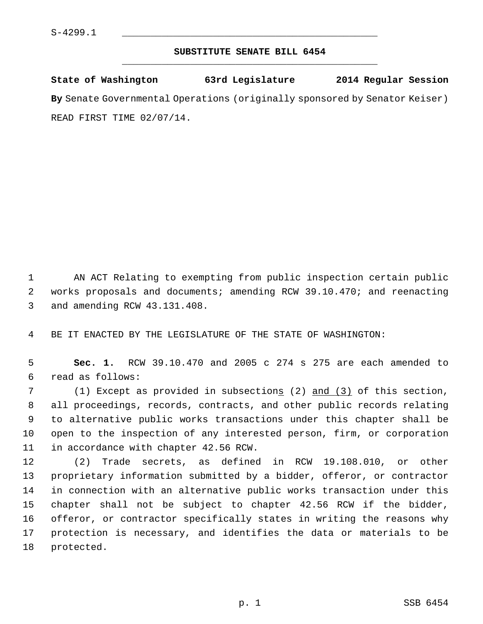## **SUBSTITUTE SENATE BILL 6454** \_\_\_\_\_\_\_\_\_\_\_\_\_\_\_\_\_\_\_\_\_\_\_\_\_\_\_\_\_\_\_\_\_\_\_\_\_\_\_\_\_\_\_\_\_

**State of Washington 63rd Legislature 2014 Regular Session By** Senate Governmental Operations (originally sponsored by Senator Keiser) READ FIRST TIME 02/07/14.

 1 AN ACT Relating to exempting from public inspection certain public 2 works proposals and documents; amending RCW 39.10.470; and reenacting 3 and amending RCW 43.131.408.

4 BE IT ENACTED BY THE LEGISLATURE OF THE STATE OF WASHINGTON:

 5 **Sec. 1.** RCW 39.10.470 and 2005 c 274 s 275 are each amended to 6 read as follows:

7 (1) Except as provided in subsections (2) and (3) of this section, 8 all proceedings, records, contracts, and other public records relating 9 to alternative public works transactions under this chapter shall be 10 open to the inspection of any interested person, firm, or corporation 11 in accordance with chapter 42.56 RCW.

12 (2) Trade secrets, as defined in RCW 19.108.010, or other 13 proprietary information submitted by a bidder, offeror, or contractor 14 in connection with an alternative public works transaction under this 15 chapter shall not be subject to chapter 42.56 RCW if the bidder, 16 offeror, or contractor specifically states in writing the reasons why 17 protection is necessary, and identifies the data or materials to be 18 protected.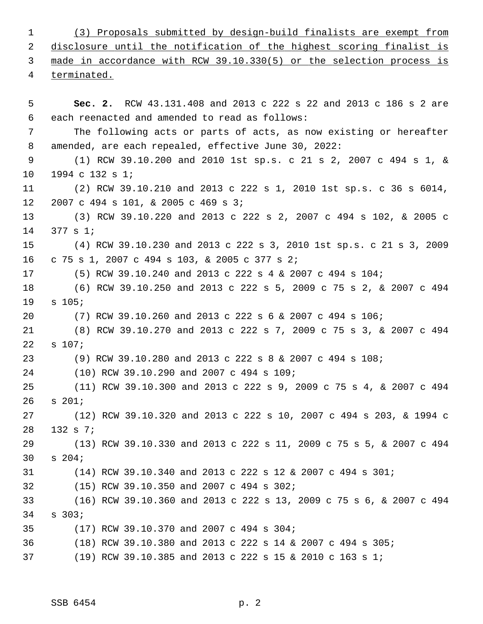1 (3) Proposals submitted by design-build finalists are exempt from 2 disclosure until the notification of the highest scoring finalist is 3 made in accordance with RCW 39.10.330(5) or the selection process is 4 terminated. 5 **Sec. 2.** RCW 43.131.408 and 2013 c 222 s 22 and 2013 c 186 s 2 are 6 each reenacted and amended to read as follows: 7 The following acts or parts of acts, as now existing or hereafter 8 amended, are each repealed, effective June 30, 2022: 9 (1) RCW 39.10.200 and 2010 1st sp.s. c 21 s 2, 2007 c 494 s 1, & 10 1994 c 132 s 1; 11 (2) RCW 39.10.210 and 2013 c 222 s 1, 2010 1st sp.s. c 36 s 6014, 12 2007 c 494 s 101, & 2005 c 469 s 3; 13 (3) RCW 39.10.220 and 2013 c 222 s 2, 2007 c 494 s 102, & 2005 c 14 377 s 1; 15 (4) RCW 39.10.230 and 2013 c 222 s 3, 2010 1st sp.s. c 21 s 3, 2009 16 c 75 s 1, 2007 c 494 s 103, & 2005 c 377 s 2; 17 (5) RCW 39.10.240 and 2013 c 222 s 4 & 2007 c 494 s 104; 18 (6) RCW 39.10.250 and 2013 c 222 s 5, 2009 c 75 s 2, & 2007 c 494 19 s 105; 20 (7) RCW 39.10.260 and 2013 c 222 s 6 & 2007 c 494 s 106; 21 (8) RCW 39.10.270 and 2013 c 222 s 7, 2009 c 75 s 3, & 2007 c 494 22 s 107; 23 (9) RCW 39.10.280 and 2013 c 222 s 8 & 2007 c 494 s 108; 24 (10) RCW 39.10.290 and 2007 c 494 s 109; 25 (11) RCW 39.10.300 and 2013 c 222 s 9, 2009 c 75 s 4, & 2007 c 494 26 s 201; 27 (12) RCW 39.10.320 and 2013 c 222 s 10, 2007 c 494 s 203, & 1994 c 28 132 s 7; 29 (13) RCW 39.10.330 and 2013 c 222 s 11, 2009 c 75 s 5, & 2007 c 494 30 s 204; 31 (14) RCW 39.10.340 and 2013 c 222 s 12 & 2007 c 494 s 301; 32 (15) RCW 39.10.350 and 2007 c 494 s 302; 33 (16) RCW 39.10.360 and 2013 c 222 s 13, 2009 c 75 s 6, & 2007 c 494 34 s 303; 35 (17) RCW 39.10.370 and 2007 c 494 s 304; 36 (18) RCW 39.10.380 and 2013 c 222 s 14 & 2007 c 494 s 305; 37 (19) RCW 39.10.385 and 2013 c 222 s 15 & 2010 c 163 s 1;